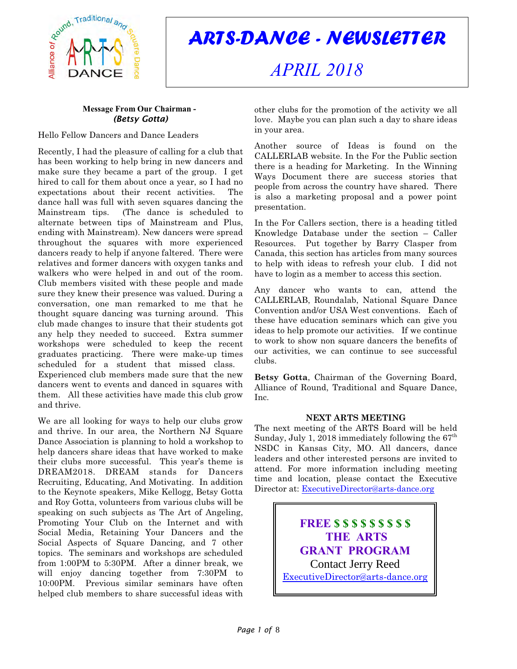

*ARTS-DANCE - NEWSLETTER*

# *APRIL 2018*

# **Message From Our Chairman -**  *(Betsy Gotta)*

Hello Fellow Dancers and Dance Leaders

Recently, I had the pleasure of calling for a club that has been working to help bring in new dancers and make sure they became a part of the group. I get hired to call for them about once a year, so I had no expectations about their recent activities. The dance hall was full with seven squares dancing the Mainstream tips. (The dance is scheduled to alternate between tips of Mainstream and Plus, ending with Mainstream). New dancers were spread throughout the squares with more experienced dancers ready to help if anyone faltered. There were relatives and former dancers with oxygen tanks and walkers who were helped in and out of the room. Club members visited with these people and made sure they knew their presence was valued. During a conversation, one man remarked to me that he thought square dancing was turning around. This club made changes to insure that their students got any help they needed to succeed. Extra summer workshops were scheduled to keep the recent graduates practicing. There were make-up times scheduled for a student that missed class.

Experienced club members made sure that the new dancers went to events and danced in squares with them. All these activities have made this club grow and thrive.

We are all looking for ways to help our clubs grow and thrive. In our area, the Northern NJ Square Dance Association is planning to hold a workshop to help dancers share ideas that have worked to make their clubs more successful. This year's theme is DREAM2018. DREAM stands for Dancers Recruiting, Educating, And Motivating. In addition to the Keynote speakers, Mike Kellogg, Betsy Gotta and Roy Gotta, volunteers from various clubs will be speaking on such subjects as The Art of Angeling, Promoting Your Club on the Internet and with Social Media, Retaining Your Dancers and the Social Aspects of Square Dancing, and 7 other topics. The seminars and workshops are scheduled from 1:00PM to 5:30PM. After a dinner break, we will enjoy dancing together from 7:30PM to 10:00PM. Previous similar seminars have often helped club members to share successful ideas with

other clubs for the promotion of the activity we all love. Maybe you can plan such a day to share ideas in your area.

Another source of Ideas is found on the CALLERLAB website. In the For the Public section there is a heading for Marketing. In the Winning Ways Document there are success stories that people from across the country have shared. There is also a marketing proposal and a power point presentation.

In the For Callers section, there is a heading titled Knowledge Database under the section – Caller Resources. Put together by Barry Clasper from Canada, this section has articles from many sources to help with ideas to refresh your club. I did not have to login as a member to access this section.

Any dancer who wants to can, attend the CALLERLAB, Roundalab, National Square Dance Convention and/or USA West conventions. Each of these have education seminars which can give you ideas to help promote our activities. If we continue to work to show non square dancers the benefits of our activities, we can continue to see successful clubs.

**Betsy Gotta**, Chairman of the Governing Board, Alliance of Round, Traditional and Square Dance, Inc.

# **NEXT ARTS MEETING**

The next meeting of the ARTS Board will be held Sunday, July 1, 2018 immediately following the  $67<sup>th</sup>$ NSDC in Kansas City, MO. All dancers, dance leaders and other interested persons are invited to attend. For more information including meeting time and location, please contact the Executive Director at: [ExecutiveDirector@arts-dance.org](mailto:ExecutiveDirector@arts-dance.org)

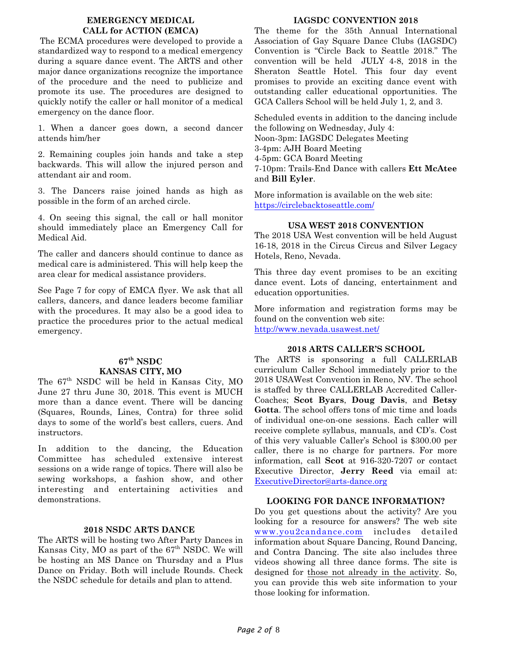# **EMERGENCY MEDICAL CALL for ACTION (EMCA)**

The ECMA procedures were developed to provide a standardized way to respond to a medical emergency during a square dance event. The ARTS and other major dance organizations recognize the importance of the procedure and the need to publicize and promote its use. The procedures are designed to quickly notify the caller or hall monitor of a medical emergency on the dance floor.

1. When a dancer goes down, a second dancer attends him/her

2. Remaining couples join hands and take a step backwards. This will allow the injured person and attendant air and room.

3. The Dancers raise joined hands as high as possible in the form of an arched circle.

4. On seeing this signal, the call or hall monitor should immediately place an Emergency Call for Medical Aid.

The caller and dancers should continue to dance as medical care is administered. This will help keep the area clear for medical assistance providers.

See Page 7 for copy of EMCA flyer. We ask that all callers, dancers, and dance leaders become familiar with the procedures. It may also be a good idea to practice the procedures prior to the actual medical emergency.

# **67th NSDC KANSAS CITY, MO**

The 67th NSDC will be held in Kansas City, MO June 27 thru June 30, 2018. This event is MUCH more than a dance event. There will be dancing (Squares, Rounds, Lines, Contra) for three solid days to some of the world's best callers, cuers. And instructors.

In addition to the dancing, the Education Committee has scheduled extensive interest sessions on a wide range of topics. There will also be sewing workshops, a fashion show, and other interesting and entertaining activities and demonstrations.

# **2018 NSDC ARTS DANCE**

The ARTS will be hosting two After Party Dances in Kansas City, MO as part of the  $67<sup>th</sup>$  NSDC. We will be hosting an MS Dance on Thursday and a Plus Dance on Friday. Both will include Rounds. Check the NSDC schedule for details and plan to attend.

# **IAGSDC CONVENTION 2018**

The theme for the 35th Annual International Association of Gay Square Dance Clubs (IAGSDC) Convention is "Circle Back to Seattle 2018." The convention will be held JULY 4-8, 2018 in the Sheraton Seattle Hotel. This four day event promises to provide an exciting dance event with outstanding caller educational opportunities. The GCA Callers School will be held July 1, 2, and 3.

Scheduled events in addition to the dancing include the following on Wednesday, July 4: Noon-3pm: IAGSDC Delegates Meeting 3-4pm: AJH Board Meeting 4-5pm: GCA Board Meeting 7-10pm: Trails-End Dance with callers **Ett McAtee** and **Bill Eyler**.

More information is available on the web site: <https://circlebacktoseattle.com/>

# **USA WEST 2018 CONVENTION**

The 2018 USA West convention will be held August 16-18, 2018 in the Circus Circus and Silver Legacy Hotels, Reno, Nevada.

This three day event promises to be an exciting dance event. Lots of dancing, entertainment and education opportunities.

More information and registration forms may be found on the convention web site: [http://www.nevada.usawest.net/]((http://www.nevada.usawest.net/)

# **2018 ARTS CALLER'S SCHOOL**

The ARTS is sponsoring a full CALLERLAB curriculum Caller School immediately prior to the 2018 USAWest Convention in Reno, NV. The school is staffed by three CALLERLAB Accredited Caller-Coaches; **Scot Byars**, **Doug Davis**, and **Betsy Gotta**. The school offers tons of mic time and loads of individual one-on-one sessions. Each caller will receive complete syllabus, manuals, and CD's. Cost of this very valuable Caller's School is \$300.00 per caller, there is no charge for partners. For more information, call **Scot** at 916-320-7207 or contact Executive Director, **Jerry Reed** via email at: [ExecutiveDirector@arts-dance.org](mailto:ExecutiveDirector@arts-dance.org)

# **LOOKING FOR DANCE INFORMATION?**

Do you get questions about the activity? Are you looking for a resource for answers? The web site [www.you2candance.com](http://www.you2candance.com) includes detailed information about Square Dancing, Round Dancing, and Contra Dancing. The site also includes three videos showing all three dance forms. The site is designed for those not already in the activity. So, you can provide this web site information to your those looking for information.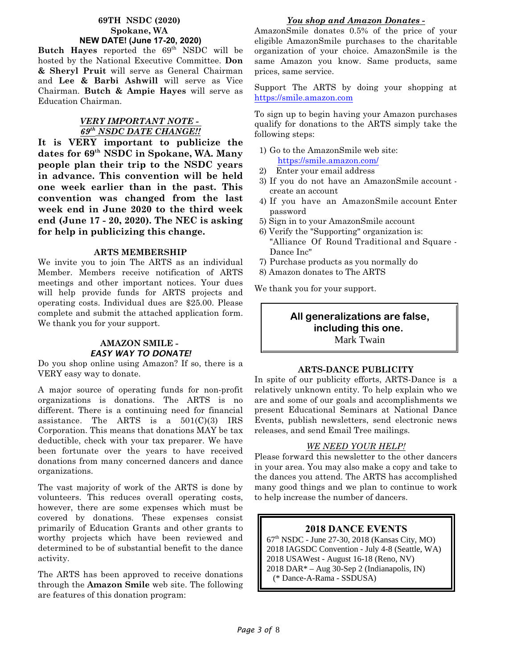# **69TH NSDC (2020) Spokane, WA NEW DATE! (June 17-20, 2020)**

**Butch Hayes** reported the 69<sup>th</sup> NSDC will be hosted by the National Executive Committee. **Don & Sheryl Pruit** will serve as General Chairman and **Lee & Barbi Ashwill** will serve as Vice Chairman. **Butch & Ampie Hayes** will serve as Education Chairman.

# *VERY IMPORTANT NOTE - 69th NSDC DATE CHANGE!!*

**It is VERY important to publicize the dates for 69th NSDC in Spokane, WA. Many people plan their trip to the NSDC years in advance. This convention will be held one week earlier than in the past. This convention was changed from the last week end in June 2020 to the third week end (June 17 - 20, 2020). The NEC is asking for help in publicizing this change.**

# **ARTS MEMBERSHIP**

We invite you to join The ARTS as an individual Member. Members receive notification of ARTS meetings and other important notices. Your dues will help provide funds for ARTS projects and operating costs. Individual dues are \$25.00. Please complete and submit the attached application form. We thank you for your support.

# **AMAZON SMILE -**  *EASY WAY TO DONATE!*

Do you shop online using Amazon? If so, there is a VERY easy way to donate.

A major source of operating funds for non-profit organizations is donations. The ARTS is no different. There is a continuing need for financial assistance. The ARTS is a  $501(C)(3)$  IRS Corporation. This means that donations MAY be tax deductible, check with your tax preparer. We have been fortunate over the years to have received donations from many concerned dancers and dance organizations.

The vast majority of work of the ARTS is done by volunteers. This reduces overall operating costs, however, there are some expenses which must be covered by donations. These expenses consist primarily of Education Grants and other grants to worthy projects which have been reviewed and determined to be of substantial benefit to the dance activity.

The ARTS has been approved to receive donations through the **Amazon Smile** web site. The following are features of this donation program:

# *You shop and Amazon Donates -*

AmazonSmile donates 0.5% of the price of your eligible AmazonSmile purchases to the charitable organization of your choice. AmazonSmile is the same Amazon you know. Same products, same prices, same service.

Support The ARTS by doing your shopping at <https://smile.amazon.com>

To sign up to begin having your Amazon purchases qualify for donations to the ARTS simply take the following steps:

- 1) Go to the AmazonSmile web site: <https://smile.amazon.com/>
- 2) Enter your email address
- 3) If you do not have an AmazonSmile account create an account
- 4) If you have an AmazonSmile account Enter password
- 5) Sign in to your AmazonSmile account
- 6) Verify the "Supporting" organization is: "Alliance Of Round Traditional and Square - Dance Inc"
- 7) Purchase products as you normally do
- 8) Amazon donates to The ARTS

We thank you for your support.

# **All generalizations are false, including this one.**  Mark Twain

# **ARTS-DANCE PUBLICITY**

In spite of our publicity efforts, ARTS-Dance is a relatively unknown entity. To help explain who we are and some of our goals and accomplishments we present Educational Seminars at National Dance Events, publish newsletters, send electronic news releases, and send Email Tree mailings.

# *WE NEED YOUR HELP!*

Please forward this newsletter to the other dancers in your area. You may also make a copy and take to the dances you attend. The ARTS has accomplished many good things and we plan to continue to work to help increase the number of dancers.

# **2018 DANCE EVENTS**

67th NSDC - June 27-30, 2018 (Kansas City, MO) 2018 IAGSDC Convention - July 4-8 (Seattle, WA) 2018 USAWest - August 16-18 (Reno, NV) 2018 DAR\* – Aug 30-Sep 2 (Indianapolis, IN) (\* Dance-A-Rama - SSDUSA)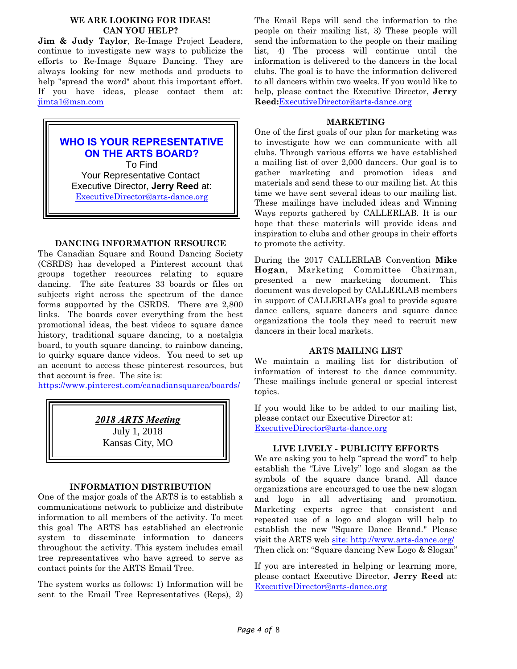# **WE ARE LOOKING FOR IDEAS! CAN YOU HELP?**

**Jim & Judy Taylor**, Re-Image Project Leaders, continue to investigate new ways to publicize the efforts to Re-Image Square Dancing. They are always looking for new methods and products to help "spread the word" about this important effort. If you have ideas, please contact them at: [jimta1@msn.com](mailto:jimta1@msn.com)

# **WHO IS YOUR REPRESENTATIVE ON THE ARTS BOARD?**

 To Find Your Representative Contact Executive Director, **Jerry Reed** at: [ExecutiveDirector@arts-dance.org](mailto:ExecutiveDirector@arts-dance.org)

# **DANCING INFORMATION RESOURCE**

The Canadian Square and Round Dancing Society (CSRDS) has developed a Pinterest account that groups together resources relating to square dancing. The site features 33 boards or files on subjects right across the spectrum of the dance forms supported by the CSRDS. There are 2,800 links. The boards cover everything from the best promotional ideas, the best videos to square dance history, traditional square dancing, to a nostalgia board, to youth square dancing, to rainbow dancing, to quirky square dance videos. You need to set up an account to access these pinterest resources, but that account is free. The site is:

<https://www.pinterest.com/canadiansquarea/boards/>

*2018 ARTS Meeting* July 1, 2018 Kansas City, MO

# **INFORMATION DISTRIBUTION**

One of the major goals of the ARTS is to establish a communications network to publicize and distribute information to all members of the activity. To meet this goal The ARTS has established an electronic system to disseminate information to dancers throughout the activity. This system includes email tree representatives who have agreed to serve as contact points for the ARTS Email Tree.

The system works as follows: 1) Information will be sent to the Email Tree Representatives (Reps), 2)

The Email Reps will send the information to the people on their mailing list, 3) These people will send the information to the people on their mailing list, 4) The process will continue until the information is delivered to the dancers in the local clubs. The goal is to have the information delivered to all dancers within two weeks. If you would like to help, please contact the Executive Director, **Jerry Reed:**[ExecutiveDirector@arts-dance.org](mailto:at:ExecutiveDirector@arts-dance.org)

# **MARKETING**

One of the first goals of our plan for marketing was to investigate how we can communicate with all clubs. Through various efforts we have established a mailing list of over 2,000 dancers. Our goal is to gather marketing and promotion ideas and materials and send these to our mailing list. At this time we have sent several ideas to our mailing list. These mailings have included ideas and Winning Ways reports gathered by CALLERLAB. It is our hope that these materials will provide ideas and inspiration to clubs and other groups in their efforts to promote the activity.

During the 2017 CALLERLAB Convention **Mike Hogan**, Marketing Committee Chairman, presented a new marketing document. This document was developed by CALLERLAB members in support of CALLERLAB's goal to provide square dance callers, square dancers and square dance organizations the tools they need to recruit new dancers in their local markets.

# **ARTS MAILING LIST**

We maintain a mailing list for distribution of information of interest to the dance community. These mailings include general or special interest topics.

If you would like to be added to our mailing list, please contact our Executive Director at: [ExecutiveDirector@arts-dance.org](mailto:ExecutiveDirector@arts-dance.org)

# **LIVE LIVELY - PUBLICITY EFFORTS**

We are asking you to help "spread the word" to help establish the "Live Lively" logo and slogan as the symbols of the square dance brand. All dance organizations are encouraged to use the new slogan and logo in all advertising and promotion. Marketing experts agree that consistent and repeated use of a logo and slogan will help to establish the new "Square Dance Brand." Please visit the ARTS web [site: http://www.arts-dance.org/]((http://www.arts-dance.org/)) Then click on: "Square dancing New Logo & Slogan"

If you are interested in helping or learning more, please contact Executive Director, **Jerry Reed** at: [ExecutiveDirector@arts-dance.org](mailto:ExecutiveDirector@arts-dance.org)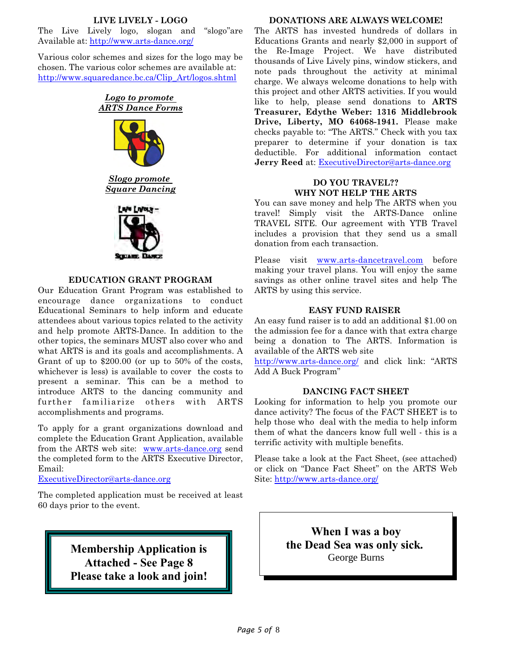# **LIVE LIVELY - LOGO**

The Live Lively logo, slogan and "slogo"are Available at:<http://www.arts-dance.org/>

Various color schemes and sizes for the logo may be chosen. The various color schemes are available at: [http://www.squaredance.bc.ca/Clip\\_Art/logos.shtml](http://www.squaredance.bc.ca/Clip_Art/logos.shtml)





*Slogo promote Square Dancing*



# **EDUCATION GRANT PROGRAM**

Our Education Grant Program was established to encourage dance organizations to conduct Educational Seminars to help inform and educate attendees about various topics related to the activity and help promote ARTS-Dance. In addition to the other topics, the seminars MUST also cover who and what ARTS is and its goals and accomplishments. A Grant of up to \$200.00 (or up to 50% of the costs, whichever is less) is available to cover the costs to present a seminar. This can be a method to introduce ARTS to the dancing community and further familiarize others with ARTS accomplishments and programs.

To apply for a grant organizations download and complete the Education Grant Application, available from the ARTS web site: [www.arts-dance.org](http://www.arts-dance.org) send the completed form to the ARTS Executive Director, Email:

[ExecutiveDirector@arts-dance.org](mailto:ExecutiveDirector@arts-dance.org)

The completed application must be received at least 60 days prior to the event.

> **Membership Application is Attached - See Page 8 Please take a look and join!**

### **DONATIONS ARE ALWAYS WELCOME!**

The ARTS has invested hundreds of dollars in Educations Grants and nearly \$2,000 in support of the Re-Image Project. We have distributed thousands of Live Lively pins, window stickers, and note pads throughout the activity at minimal charge. We always welcome donations to help with this project and other ARTS activities. If you would like to help, please send donations to **ARTS Treasurer, Edythe Weber: 1316 Middlebrook Drive, Liberty, MO 64068-1941.** Please make checks payable to: "The ARTS." Check with you tax preparer to determine if your donation is tax deductible. For additional information contact **Jerry Reed** at: [ExecutiveDirector@arts-dance.org](mailto:ExecutiveDirector@arts-dance.org)

# **DO YOU TRAVEL?? WHY NOT HELP THE ARTS**

You can save money and help The ARTS when you travel! Simply visit the ARTS-Dance online TRAVEL SITE. Our agreement with YTB Travel includes a provision that they send us a small donation from each transaction.

Please visit [www.arts-dancetravel.com](http://www.arts-dancetravel.com) before making your travel plans. You will enjoy the same savings as other online travel sites and help The ARTS by using this service.

# **EASY FUND RAISER**

An easy fund raiser is to add an additional \$1.00 on the admission fee for a dance with that extra charge being a donation to The ARTS. Information is available of the ARTS web site

[http://www.arts-dance.org/]((http://www.arts-dance.org/) and click link: "ARTS Add A Buck Program"

# **DANCING FACT SHEET**

Looking for information to help you promote our dance activity? The focus of the FACT SHEET is to help those who deal with the media to help inform them of what the dancers know full well - this is a terrific activity with multiple benefits.

Please take a look at the Fact Sheet, (see attached) or click on "Dance Fact Sheet" on the ARTS Web Site:<http://www.arts-dance.org/>

> **When I was a boy the Dead Sea was only sick.** George Burns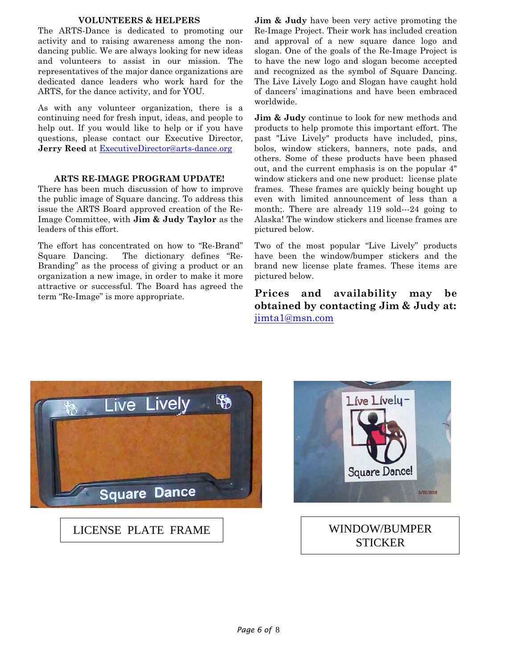# **VOLUNTEERS & HELPERS**

The ARTS-Dance is dedicated to promoting our activity and to raising awareness among the nondancing public. We are always looking for new ideas and volunteers to assist in our mission. The representatives of the major dance organizations are dedicated dance leaders who work hard for the ARTS, for the dance activity, and for YOU.

As with any volunteer organization, there is a continuing need for fresh input, ideas, and people to help out. If you would like to help or if you have questions, please contact our Executive Director, **Jerry Reed** at [ExecutiveDirector@arts-dance.org](mailto:ExecutiveDirector@arts-dance.org)

# **ARTS RE-IMAGE PROGRAM UPDATE!**

There has been much discussion of how to improve the public image of Square dancing. To address this issue the ARTS Board approved creation of the Re-Image Committee, with **Jim & Judy Taylor** as the leaders of this effort.

The effort has concentrated on how to "Re-Brand" Square Dancing. The dictionary defines "Re-Branding" as the process of giving a product or an organization a new image, in order to make it more attractive or successful. The Board has agreed the term "Re-Image" is more appropriate.

**Jim & Judy** have been very active promoting the Re-Image Project. Their work has included creation and approval of a new square dance logo and slogan. One of the goals of the Re-Image Project is to have the new logo and slogan become accepted and recognized as the symbol of Square Dancing. The Live Lively Logo and Slogan have caught hold of dancers' imaginations and have been embraced worldwide.

**Jim & Judy** continue to look for new methods and products to help promote this important effort. The past "Live Lively" products have included, pins, bolos, window stickers, banners, note pads, and others. Some of these products have been phased out, and the current emphasis is on the popular 4" window stickers and one new product: license plate frames. These frames are quickly being bought up even with limited announcement of less than a month;. There are already 119 sold—24 going to Alaska! The window stickers and license frames are pictured below.

Two of the most popular "Live Lively" products have been the window/bumper stickers and the brand new license plate frames. These items are pictured below.

**Prices and availability may be obtained by contacting Jim & Judy at:** [jimta1@msn.com](mailto:jimta1@msn.com)



LICENSE PLATE FRAME WINDOW/BUMPER



# **STICKER**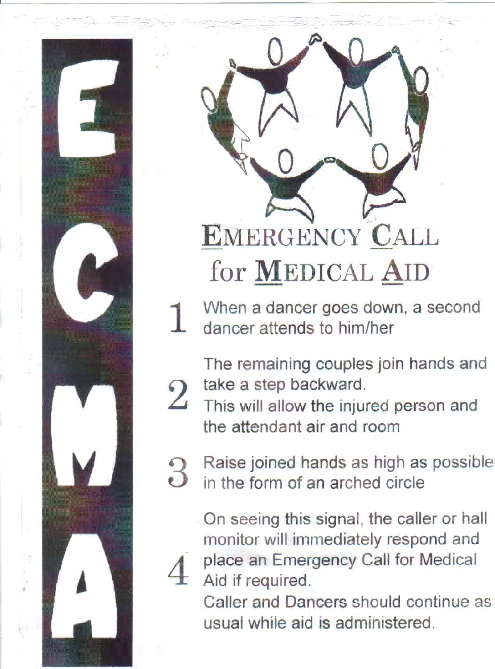

# **EMERGENCY CALL** for MEDICAL AID

When a dancer goes down, a second dancer attends to him/her

The remaining couples join hands and take a step backward.

 $\overline{2}$ This will allow the injured person and the attendant air and room



On seeing this signal, the caller or hall monitor will immediately respond and place an Emergency Call for Medical Aid if required.

Caller and Dancers should continue as usual while aid is administered.